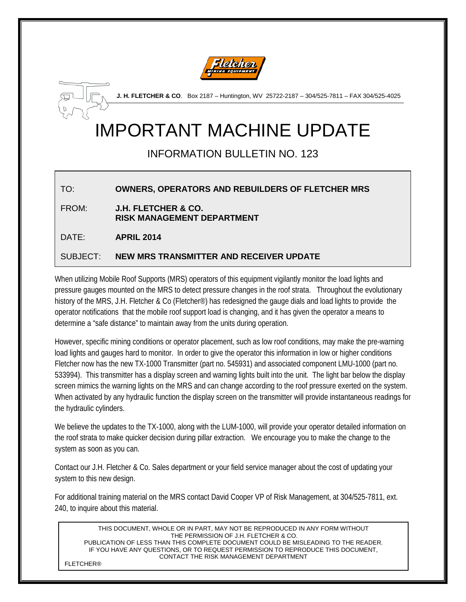



**J. H. FLETCHER & CO**. Box 2187 – Huntington, WV 25722-2187 – 304/525-7811 – FAX 304/525-4025

## IMPORTANT MACHINE UPDATE

INFORMATION BULLETIN NO. 123

## TO: **OWNERS, OPERATORS AND REBUILDERS OF FLETCHER MRS**

FROM: **J.H. FLETCHER & CO. RISK MANAGEMENT DEPARTMENT**

DATE: **APRIL 2014**

## SUBJECT: **NEW MRS TRANSMITTER AND RECEIVER UPDATE**

When utilizing Mobile Roof Supports (MRS) operators of this equipment vigilantly monitor the load lights and pressure gauges mounted on the MRS to detect pressure changes in the roof strata. Throughout the evolutionary history of the MRS, J.H. Fletcher & Co (Fletcher<sup>®</sup>) has redesigned the gauge dials and load lights to provide the operator notifications that the mobile roof support load is changing, and it has given the operator a means to determine a "safe distance" to maintain away from the units during operation.

However, specific mining conditions or operator placement, such as low roof conditions, may make the pre-warning load lights and gauges hard to monitor. In order to give the operator this information in low or higher conditions Fletcher now has the new TX-1000 Transmitter (part no. 545931) and associated component LMU-1000 (part no. 533994). This transmitter has a display screen and warning lights built into the unit. The light bar below the display screen mimics the warning lights on the MRS and can change according to the roof pressure exerted on the system. When activated by any hydraulic function the display screen on the transmitter will provide instantaneous readings for the hydraulic cylinders.

We believe the updates to the TX-1000, along with the LUM-1000, will provide your operator detailed information on the roof strata to make quicker decision during pillar extraction. We encourage you to make the change to the system as soon as you can.

Contact our J.H. Fletcher & Co. Sales department or your field service manager about the cost of updating your system to this new design.

For additional training material on the MRS contact David Cooper VP of Risk Management, at 304/525-7811, ext. 240, to inquire about this material.

THIS DOCUMENT, WHOLE OR IN PART, MAY NOT BE REPRODUCED IN ANY FORM WITHOUT THE PERMISSION OF J.H. FLETCHER & CO. PUBLICATION OF LESS THAN THIS COMPLETE DOCUMENT COULD BE MISLEADING TO THE READER. IF YOU HAVE ANY QUESTIONS, OR TO REQUEST PERMISSION TO REPRODUCE THIS DOCUMENT, CONTACT THE RISK MANAGEMENT DEPARTMENT

FLETCHER®